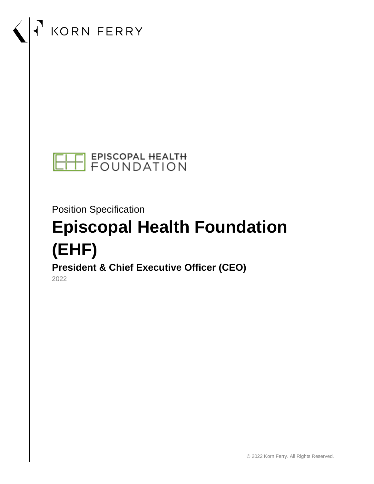# KORN FERRY



Position Specification

# **Episcopal Health Foundation (EHF)**

**President & Chief Executive Officer (CEO)**

2022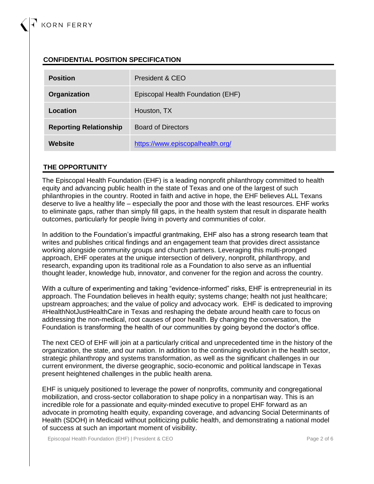## **CONFIDENTIAL POSITION SPECIFICATION**

| <b>Position</b>               | President & CEO                   |
|-------------------------------|-----------------------------------|
| Organization                  | Episcopal Health Foundation (EHF) |
| Location                      | Houston, TX                       |
| <b>Reporting Relationship</b> | <b>Board of Directors</b>         |
| Website                       | https://www.episcopalhealth.org/  |

#### **THE OPPORTUNITY**

The Episcopal Health Foundation (EHF) is a leading nonprofit philanthropy committed to health equity and advancing public health in the state of Texas and one of the largest of such philanthropies in the country. Rooted in faith and active in hope, the EHF believes ALL Texans deserve to live a healthy life – especially the poor and those with the least resources. EHF works to eliminate gaps, rather than simply fill gaps, in the health system that result in disparate health outcomes, particularly for people living in poverty and communities of color.

In addition to the Foundation's impactful grantmaking, EHF also has a strong research team that writes and publishes critical findings and an engagement team that provides direct assistance working alongside community groups and church partners. Leveraging this multi-pronged approach, EHF operates at the unique intersection of delivery, nonprofit, philanthropy, and research, expanding upon its traditional role as a Foundation to also serve as an influential thought leader, knowledge hub, innovator, and convener for the region and across the country.

With a culture of experimenting and taking "evidence-informed" risks, EHF is entrepreneurial in its approach. The Foundation believes in health equity; systems change; health not just healthcare; upstream approaches; and the value of policy and advocacy work. EHF is dedicated to improving #HealthNotJustHealthCare in Texas and reshaping the debate around health care to focus on addressing the non-medical, root causes of poor health. By changing the conversation, the Foundation is transforming the health of our communities by going beyond the doctor's office.

The next CEO of EHF will join at a particularly critical and unprecedented time in the history of the organization, the state, and our nation. In addition to the continuing evolution in the health sector, strategic philanthropy and systems transformation, as well as the significant challenges in our current environment, the diverse geographic, socio-economic and political landscape in Texas present heightened challenges in the public health arena.

EHF is uniquely positioned to leverage the power of nonprofits, community and congregational mobilization, and cross-sector collaboration to shape policy in a nonpartisan way. This is an incredible role for a passionate and equity-minded executive to propel EHF forward as an advocate in promoting health equity, expanding coverage, and advancing Social Determinants of Health (SDOH) in Medicaid without politicizing public health, and demonstrating a national model of success at such an important moment of visibility.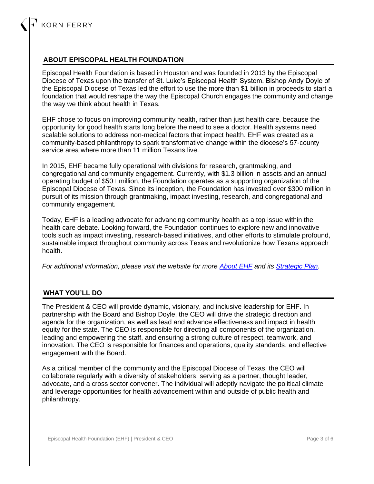#### **ABOUT EPISCOPAL HEALTH FOUNDATION**

Episcopal Health Foundation is based in Houston and was founded in 2013 by the Episcopal Diocese of Texas upon the transfer of St. Luke's Episcopal Health System. Bishop Andy Doyle of the Episcopal Diocese of Texas led the effort to use the more than \$1 billion in proceeds to start a foundation that would reshape the way the Episcopal Church engages the community and change the way we think about health in Texas.

EHF chose to focus on improving community health, rather than just health care, because the opportunity for good health starts long before the need to see a doctor. Health systems need scalable solutions to address non-medical factors that impact health. EHF was created as a community-based philanthropy to spark transformative change within the diocese's 57-county service area where more than 11 million Texans live.

In 2015, EHF became fully operational with divisions for research, grantmaking, and congregational and community engagement. Currently, with \$1.3 billion in assets and an annual operating budget of \$50+ million, the Foundation operates as a supporting organization of the Episcopal Diocese of Texas. Since its inception, the Foundation has invested over \$300 million in pursuit of its mission through grantmaking, impact investing, research, and congregational and community engagement.

Today, EHF is a leading advocate for advancing community health as a top issue within the health care debate. Looking forward, the Foundation continues to explore new and innovative tools such as impact investing, research-based initiatives, and other efforts to stimulate profound, sustainable impact throughout community across Texas and revolutionize how Texans approach health.

*For additional information, please visit the website for more [About EHF](https://www.episcopalhealth.org/about/) and its [Strategic Plan.](https://www.episcopalhealth.org/about/strategic-plan/background/)*

### **WHAT YOU'LL DO**

The President & CEO will provide dynamic, visionary, and inclusive leadership for EHF. In partnership with the Board and Bishop Doyle, the CEO will drive the strategic direction and agenda for the organization, as well as lead and advance effectiveness and impact in health equity for the state. The CEO is responsible for directing all components of the organization, leading and empowering the staff, and ensuring a strong culture of respect, teamwork, and innovation. The CEO is responsible for finances and operations, quality standards, and effective engagement with the Board.

As a critical member of the community and the Episcopal Diocese of Texas, the CEO will collaborate regularly with a diversity of stakeholders, serving as a partner, thought leader, advocate, and a cross sector convener. The individual will adeptly navigate the political climate and leverage opportunities for health advancement within and outside of public health and philanthropy.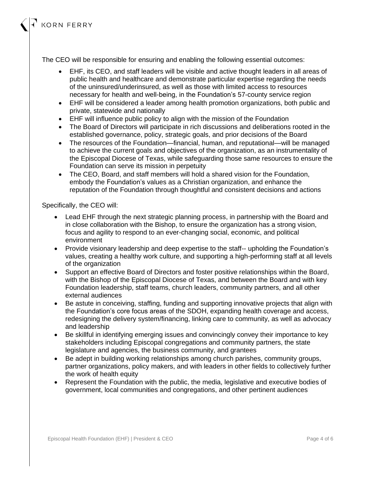The CEO will be responsible for ensuring and enabling the following essential outcomes:

- EHF, its CEO, and staff leaders will be visible and active thought leaders in all areas of public health and healthcare and demonstrate particular expertise regarding the needs of the uninsured/underinsured, as well as those with limited access to resources necessary for health and well-being, in the Foundation's 57-county service region
- EHF will be considered a leader among health promotion organizations, both public and private, statewide and nationally
- EHF will influence public policy to align with the mission of the Foundation
- The Board of Directors will participate in rich discussions and deliberations rooted in the established governance, policy, strategic goals, and prior decisions of the Board
- The resources of the Foundation—financial, human, and reputational—will be managed to achieve the current goals and objectives of the organization, as an instrumentality of the Episcopal Diocese of Texas, while safeguarding those same resources to ensure the Foundation can serve its mission in perpetuity
- The CEO, Board, and staff members will hold a shared vision for the Foundation, embody the Foundation's values as a Christian organization, and enhance the reputation of the Foundation through thoughtful and consistent decisions and actions

#### Specifically, the CEO will:

- Lead EHF through the next strategic planning process, in partnership with the Board and in close collaboration with the Bishop, to ensure the organization has a strong vision, focus and agility to respond to an ever-changing social, economic, and political environment
- Provide visionary leadership and deep expertise to the staff-- upholding the Foundation's values, creating a healthy work culture, and supporting a high-performing staff at all levels of the organization
- Support an effective Board of Directors and foster positive relationships within the Board, with the Bishop of the Episcopal Diocese of Texas, and between the Board and with key Foundation leadership, staff teams, church leaders, community partners, and all other external audiences
- Be astute in conceiving, staffing, funding and supporting innovative projects that align with the Foundation's core focus areas of the SDOH, expanding health coverage and access, redesigning the delivery system/financing, linking care to community, as well as advocacy and leadership
- Be skillful in identifying emerging issues and convincingly convey their importance to key stakeholders including Episcopal congregations and community partners, the state legislature and agencies, the business community, and grantees
- Be adept in building working relationships among church parishes, community groups, partner organizations, policy makers, and with leaders in other fields to collectively further the work of health equity
- Represent the Foundation with the public, the media, legislative and executive bodies of government, local communities and congregations, and other pertinent audiences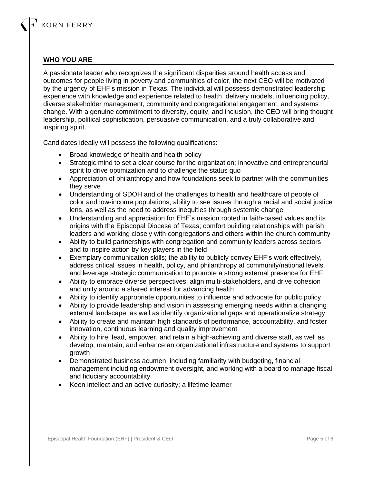#### **WHO YOU ARE**

A passionate leader who recognizes the significant disparities around health access and outcomes for people living in poverty and communities of color, the next CEO will be motivated by the urgency of EHF's mission in Texas. The individual will possess demonstrated leadership experience with knowledge and experience related to health, delivery models, influencing policy, diverse stakeholder management, community and congregational engagement, and systems change. With a genuine commitment to diversity, equity, and inclusion, the CEO will bring thought leadership, political sophistication, persuasive communication, and a truly collaborative and inspiring spirit.

Candidates ideally will possess the following qualifications:

- Broad knowledge of health and health policy
- Strategic mind to set a clear course for the organization: innovative and entrepreneurial spirit to drive optimization and to challenge the status quo
- Appreciation of philanthropy and how foundations seek to partner with the communities they serve
- Understanding of SDOH and of the challenges to health and healthcare of people of color and low-income populations; ability to see issues through a racial and social justice lens, as well as the need to address inequities through systemic change
- Understanding and appreciation for EHF's mission rooted in faith-based values and its origins with the Episcopal Diocese of Texas; comfort building relationships with parish leaders and working closely with congregations and others within the church community
- Ability to build partnerships with congregation and community leaders across sectors and to inspire action by key players in the field
- Exemplary communication skills; the ability to publicly convey EHF's work effectively, address critical issues in health, policy, and philanthropy at community/national levels, and leverage strategic communication to promote a strong external presence for EHF
- Ability to embrace diverse perspectives, align multi-stakeholders, and drive cohesion and unity around a shared interest for advancing health
- Ability to identify appropriate opportunities to influence and advocate for public policy
- Ability to provide leadership and vision in assessing emerging needs within a changing external landscape, as well as identify organizational gaps and operationalize strategy
- Ability to create and maintain high standards of performance, accountability, and foster innovation, continuous learning and quality improvement
- Ability to hire, lead, empower, and retain a high-achieving and diverse staff, as well as develop, maintain, and enhance an organizational infrastructure and systems to support growth
- Demonstrated business acumen, including familiarity with budgeting, financial management including endowment oversight, and working with a board to manage fiscal and fiduciary accountability
- Keen intellect and an active curiosity; a lifetime learner